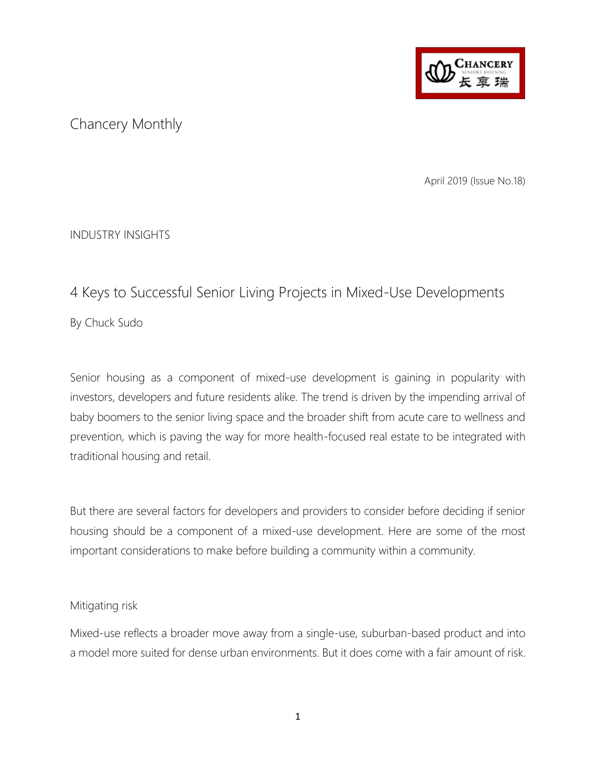

## Chancery Monthly

April 2019 (Issue No.18)

INDUSTRY INSIGHTS

# 4 Keys to Successful Senior Living Projects in Mixed-Use Developments By Chuck Sudo

Senior housing as a component of mixed-use development is gaining in popularity with investors, developers and future residents alike. The trend is driven by the impending arrival of baby boomers to the senior living space and the broader shift from acute care to wellness and prevention, which is paving the way for more health-focused real estate to be integrated with traditional housing and retail.

But there are several factors for developers and providers to consider before deciding if senior housing should be a component of a mixed-use development. Here are some of the most important considerations to make before building a community within a community.

### Mitigating risk

Mixed-use reflects a broader move away from a single-use, suburban-based product and into a model more suited for dense urban environments. But it does come with a fair amount of risk.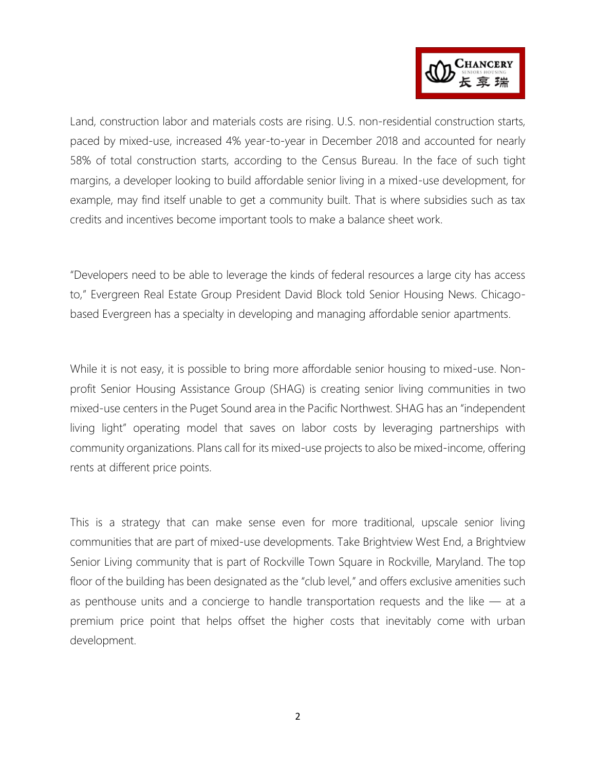

Land, construction labor and materials costs are rising. U.S. non-residential construction starts, paced by mixed-use, increased 4% year-to-year in December 2018 and accounted for nearly 58% of total construction starts, according to the Census Bureau. In the face of such tight margins, a developer looking to build affordable senior living in a mixed-use development, for example, may find itself unable to get a community built. That is where subsidies such as tax credits and incentives become important tools to make a balance sheet work.

"Developers need to be able to leverage the kinds of federal resources a large city has access to," Evergreen Real Estate Group President David Block told Senior Housing News. Chicagobased Evergreen has a specialty in developing and managing affordable senior apartments.

While it is not easy, it is possible to bring more affordable senior housing to mixed-use. Nonprofit Senior Housing Assistance Group (SHAG) is creating senior living communities in two mixed-use centers in the Puget Sound area in the Pacific Northwest. SHAG has an "independent living light" operating model that saves on labor costs by leveraging partnerships with community organizations. Plans call for its mixed-use projects to also be mixed-income, offering rents at different price points.

This is a strategy that can make sense even for more traditional, upscale senior living communities that are part of mixed-use developments. Take Brightview West End, a Brightview Senior Living community that is part of Rockville Town Square in Rockville, Maryland. The top floor of the building has been designated as the "club level," and offers exclusive amenities such as penthouse units and a concierge to handle transportation requests and the like — at a premium price point that helps offset the higher costs that inevitably come with urban development.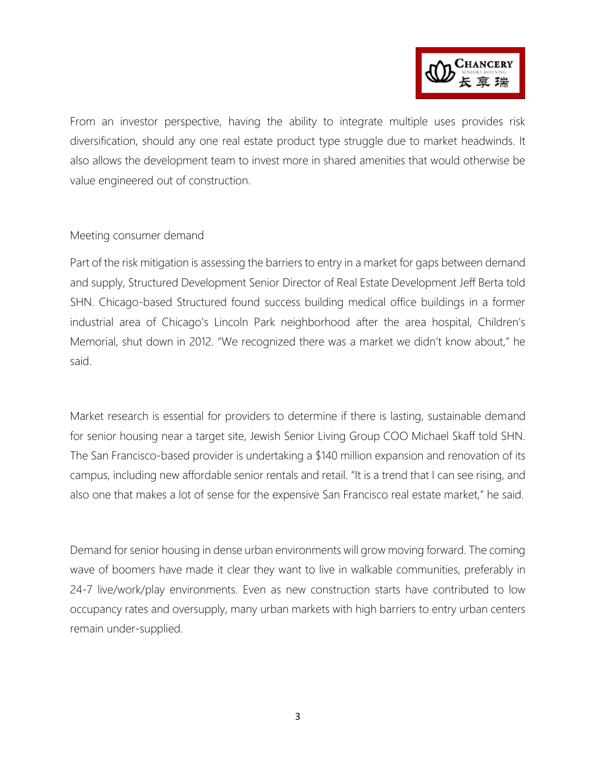

From an investor perspective, having the ability to integrate multiple uses provides risk diversification, should any one real estate product type struggle due to market headwinds. It also allows the development team to invest more in shared amenities that would otherwise be value engineered out of construction.

#### Meeting consumer demand

Part of the risk mitigation is assessing the barriers to entry in a market for gaps between demand and supply, Structured Development Senior Director of Real Estate Development Jeff Berta told SHN. Chicago-based Structured found success building medical office buildings in a former industrial area of Chicago's Lincoln Park neighborhood after the area hospital, Children's Memorial, shut down in 2012. "We recognized there was a market we didn't know about," he said.

Market research is essential for providers to determine if there is lasting, sustainable demand for senior housing near a target site, Jewish Senior Living Group COO Michael Skaff told SHN. The San Francisco-based provider is undertaking a \$140 million expansion and renovation of its campus, including new affordable senior rentals and retail. "It is a trend that I can see rising, and also one that makes a lot of sense for the expensive San Francisco real estate market," he said.

Demand for senior housing in dense urban environments will grow moving forward. The coming wave of boomers have made it clear they want to live in walkable communities, preferably in 24-7 live/work/play environments. Even as new construction starts have contributed to low occupancy rates and oversupply, many urban markets with high barriers to entry urban centers remain under-supplied.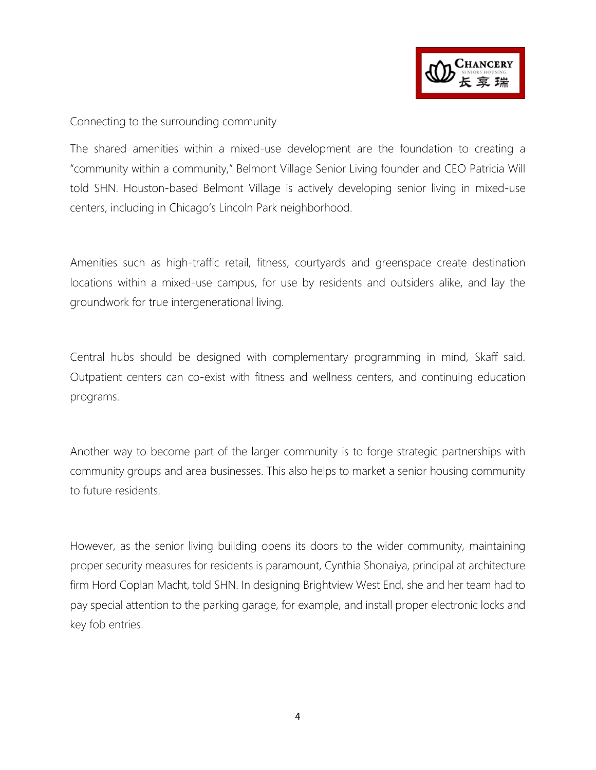

#### Connecting to the surrounding community

The shared amenities within a mixed-use development are the foundation to creating a "community within a community," Belmont Village Senior Living founder and CEO Patricia Will told SHN. Houston-based Belmont Village is actively developing senior living in mixed-use centers, including in Chicago's Lincoln Park neighborhood.

Amenities such as high-traffic retail, fitness, courtyards and greenspace create destination locations within a mixed-use campus, for use by residents and outsiders alike, and lay the groundwork for true intergenerational living.

Central hubs should be designed with complementary programming in mind, Skaff said. Outpatient centers can co-exist with fitness and wellness centers, and continuing education programs.

Another way to become part of the larger community is to forge strategic partnerships with community groups and area businesses. This also helps to market a senior housing community to future residents.

However, as the senior living building opens its doors to the wider community, maintaining proper security measures for residents is paramount, Cynthia Shonaiya, principal at architecture firm Hord Coplan Macht, told SHN. In designing Brightview West End, she and her team had to pay special attention to the parking garage, for example, and install proper electronic locks and key fob entries.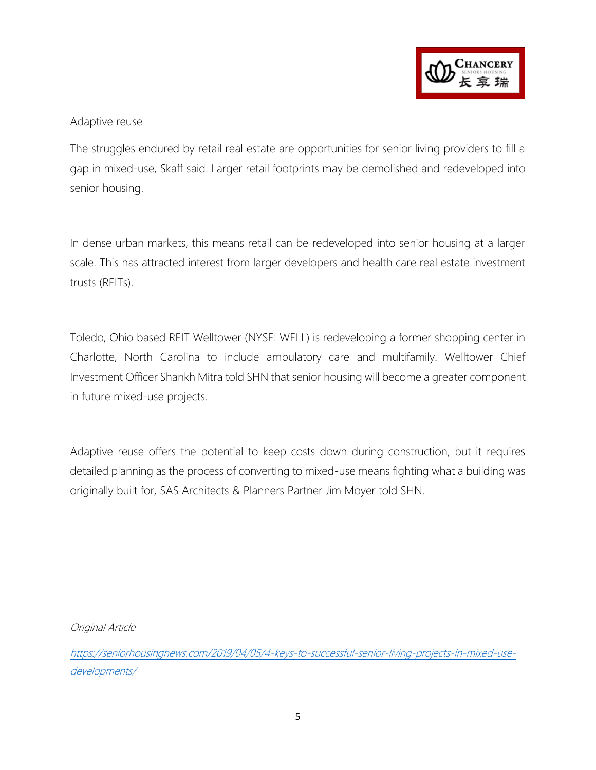

#### Adaptive reuse

The struggles endured by retail real estate are opportunities for senior living providers to fill a gap in mixed-use, Skaff said. Larger retail footprints may be demolished and redeveloped into senior housing.

In dense urban markets, this means retail can be redeveloped into senior housing at a larger scale. This has attracted interest from larger developers and health care real estate investment trusts (REITs).

Toledo, Ohio based REIT Welltower (NYSE: WELL) is redeveloping a former shopping center in Charlotte, North Carolina to include ambulatory care and multifamily. Welltower Chief Investment Officer Shankh Mitra told SHN that senior housing will become a greater component in future mixed-use projects.

Adaptive reuse offers the potential to keep costs down during construction, but it requires detailed planning as the process of converting to mixed-use means fighting what a building was originally built for, SAS Architects & Planners Partner Jim Moyer told SHN.

Original Article

[https://seniorhousingnews.com/2019/04/05/4-keys-to-successful-senior-living-projects-in-mixed-use](https://seniorhousingnews.com/2019/04/05/4-keys-to-successful-senior-living-projects-in-mixed-use-developments/)[developments/](https://seniorhousingnews.com/2019/04/05/4-keys-to-successful-senior-living-projects-in-mixed-use-developments/)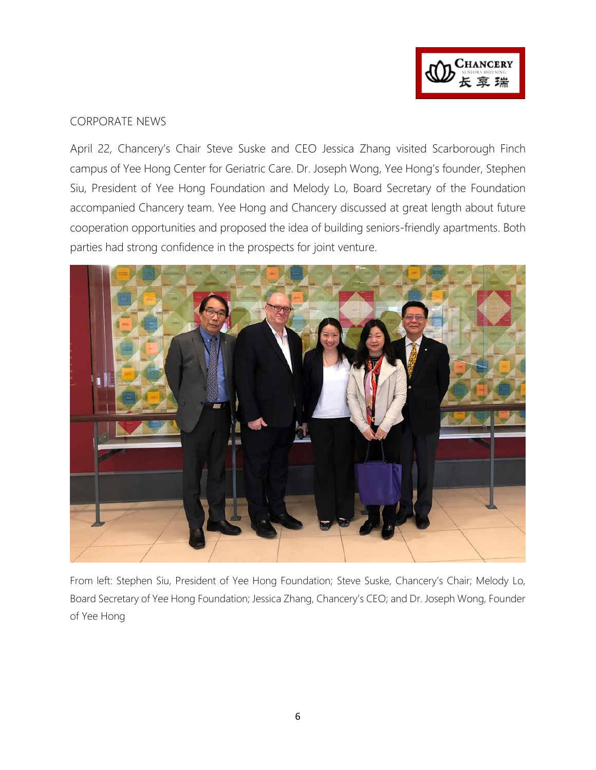

#### CORPORATE NEWS

April 22, Chancery's Chair Steve Suske and CEO Jessica Zhang visited Scarborough Finch campus of Yee Hong Center for Geriatric Care. Dr. Joseph Wong, Yee Hong's founder, Stephen Siu, President of Yee Hong Foundation and Melody Lo, Board Secretary of the Foundation accompanied Chancery team. Yee Hong and Chancery discussed at great length about future cooperation opportunities and proposed the idea of building seniors-friendly apartments. Both parties had strong confidence in the prospects for joint venture.



From left: Stephen Siu, President of Yee Hong Foundation; Steve Suske, Chancery's Chair; Melody Lo, Board Secretary of Yee Hong Foundation; Jessica Zhang, Chancery's CEO; and Dr. Joseph Wong, Founder of Yee Hong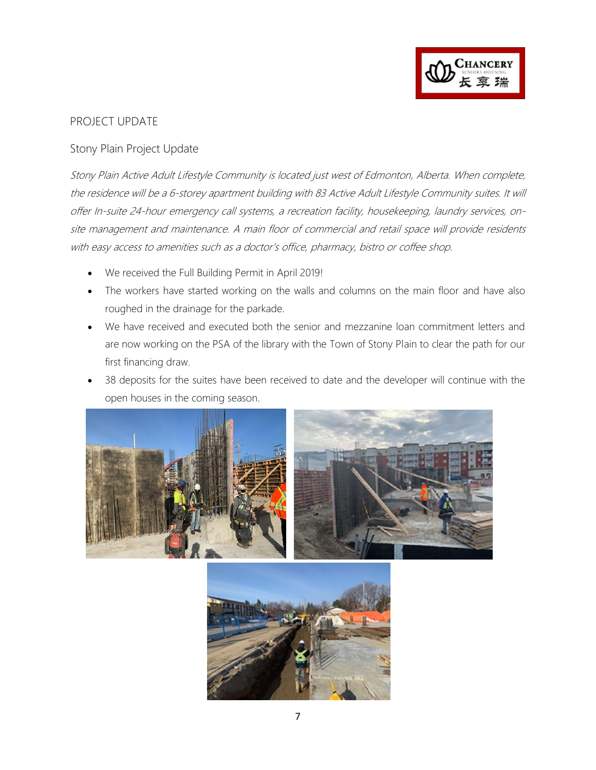

#### PROJECT UPDATE

#### Stony Plain Project Update

Stony Plain Active Adult Lifestyle Community is located just west of Edmonton, Alberta. When complete, the residence will be a 6-storey apartment building with 83 Active Adult Lifestyle Community suites. It will offer In-suite 24-hour emergency call systems, a recreation facility, housekeeping, laundry services, onsite management and maintenance. A main floor of commercial and retail space will provide residents with easy access to amenities such as a doctor's office, pharmacy, bistro or coffee shop.

- We received the Full Building Permit in April 2019!
- The workers have started working on the walls and columns on the main floor and have also roughed in the drainage for the parkade.
- We have received and executed both the senior and mezzanine loan commitment letters and are now working on the PSA of the library with the Town of Stony Plain to clear the path for our first financing draw.
- 38 deposits for the suites have been received to date and the developer will continue with the open houses in the coming season.



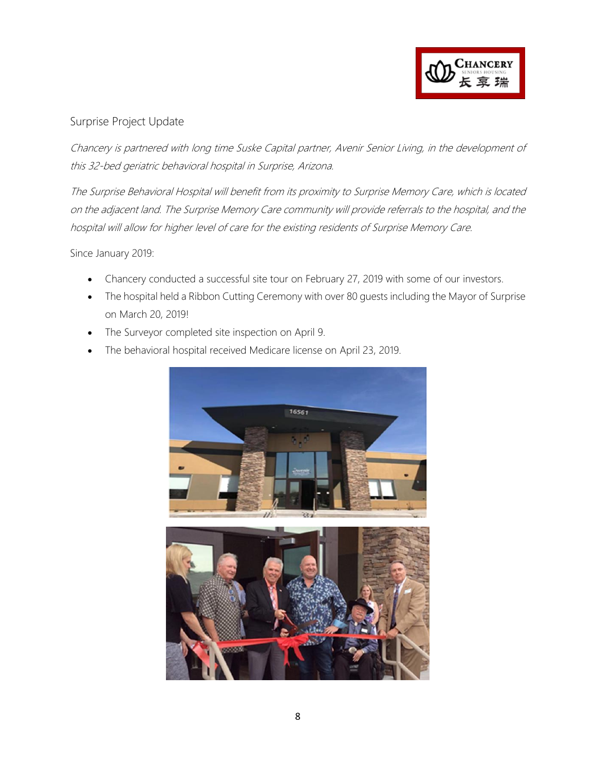

#### Surprise Project Update

Chancery is partnered with long time Suske Capital partner, Avenir Senior Living, in the development of this 32-bed geriatric behavioral hospital in Surprise, Arizona.

The Surprise Behavioral Hospital will benefit from its proximity to Surprise Memory Care, which is located on the adjacent land. The Surprise Memory Care community will provide referrals to the hospital, and the hospital will allow for higher level of care for the existing residents of Surprise Memory Care.

Since January 2019:

- Chancery conducted a successful site tour on February 27, 2019 with some of our investors.
- The hospital held a Ribbon Cutting Ceremony with over 80 guests including the Mayor of Surprise on March 20, 2019!
- The Surveyor completed site inspection on April 9.
- The behavioral hospital received Medicare license on April 23, 2019.